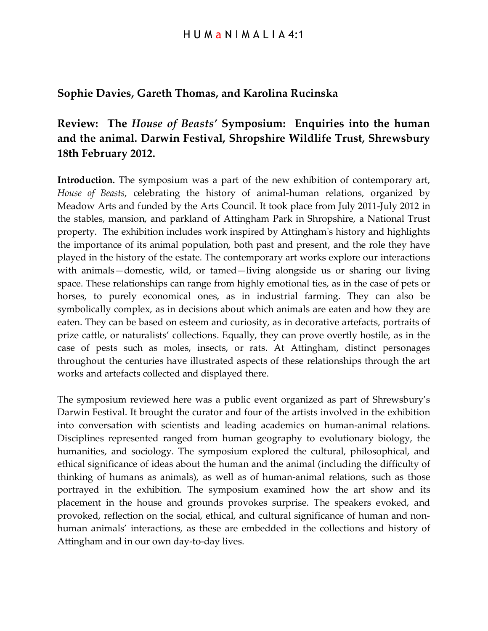## **Sophie Davies, Gareth Thomas, and Karolina Rucinska**

## **Review: The** *House of Beasts'* **Symposium: Enquiries into the human and the animal. Darwin Festival, Shropshire Wildlife Trust, Shrewsbury 18th February 2012.**

**Introduction.** The symposium was a part of the new exhibition of contemporary art, *House of Beasts*, celebrating the history of animal-human relations, organized by Meadow Arts and funded by the Arts Council. It took place from July 2011-July 2012 in the stables, mansion, and parkland of Attingham Park in Shropshire, a National Trust property. The exhibition includes work inspired by Attingham's history and highlights the importance of its animal population, both past and present, and the role they have played in the history of the estate. The contemporary art works explore our interactions with animals—domestic, wild, or tamed—living alongside us or sharing our living space. These relationships can range from highly emotional ties, as in the case of pets or horses, to purely economical ones, as in industrial farming. They can also be symbolically complex, as in decisions about which animals are eaten and how they are eaten. They can be based on esteem and curiosity, as in decorative artefacts, portraits of prize cattle, or naturalists' collections. Equally, they can prove overtly hostile, as in the case of pests such as moles, insects, or rats. At Attingham, distinct personages throughout the centuries have illustrated aspects of these relationships through the art works and artefacts collected and displayed there.

The symposium reviewed here was a public event organized as part of Shrewsbury's Darwin Festival. It brought the curator and four of the artists involved in the exhibition into conversation with scientists and leading academics on human-animal relations. Disciplines represented ranged from human geography to evolutionary biology, the humanities, and sociology. The symposium explored the cultural, philosophical, and ethical significance of ideas about the human and the animal (including the difficulty of thinking of humans as animals), as well as of human-animal relations, such as those portrayed in the exhibition. The symposium examined how the art show and its placement in the house and grounds provokes surprise. The speakers evoked, and provoked, reflection on the social, ethical, and cultural significance of human and nonhuman animals' interactions, as these are embedded in the collections and history of Attingham and in our own day-to-day lives.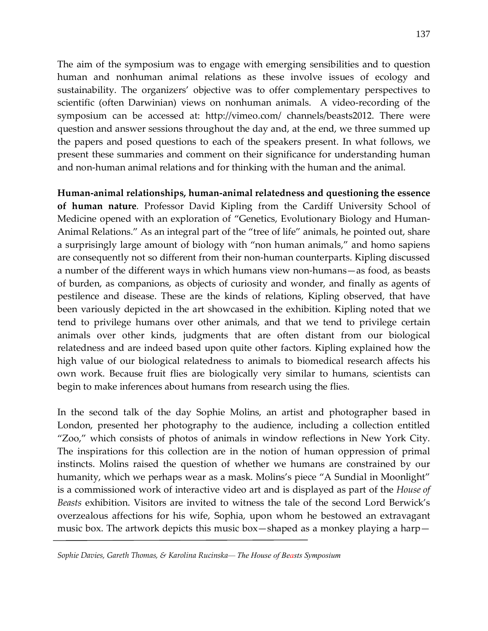The aim of the symposium was to engage with emerging sensibilities and to question human and nonhuman animal relations as these involve issues of ecology and sustainability. The organizers' objective was to offer complementary perspectives to scientific (often Darwinian) views on nonhuman animals. A video-recording of the symposium can be accessed at: http://vimeo.com/ channels/beasts2012. There were question and answer sessions throughout the day and, at the end, we three summed up the papers and posed questions to each of the speakers present. In what follows, we present these summaries and comment on their significance for understanding human and non-human animal relations and for thinking with the human and the animal.

**Human-animal relationships, human-animal relatedness and questioning the essence of human nature**. Professor David Kipling from the Cardiff University School of Medicine opened with an exploration of "Genetics, Evolutionary Biology and Human-Animal Relations." As an integral part of the "tree of life" animals, he pointed out, share a surprisingly large amount of biology with "non human animals," and homo sapiens are consequently not so different from their non-human counterparts. Kipling discussed a number of the different ways in which humans view non-humans—as food, as beasts of burden, as companions, as objects of curiosity and wonder, and finally as agents of pestilence and disease. These are the kinds of relations, Kipling observed, that have been variously depicted in the art showcased in the exhibition. Kipling noted that we tend to privilege humans over other animals, and that we tend to privilege certain animals over other kinds, judgments that are often distant from our biological relatedness and are indeed based upon quite other factors. Kipling explained how the high value of our biological relatedness to animals to biomedical research affects his own work. Because fruit flies are biologically very similar to humans, scientists can begin to make inferences about humans from research using the flies.

In the second talk of the day Sophie Molins, an artist and photographer based in London, presented her photography to the audience, including a collection entitled "Zoo," which consists of photos of animals in window reflections in New York City. The inspirations for this collection are in the notion of human oppression of primal instincts. Molins raised the question of whether we humans are constrained by our humanity, which we perhaps wear as a mask. Molins's piece "A Sundial in Moonlight" is a commissioned work of interactive video art and is displayed as part of the *House of Beasts* exhibition. Visitors are invited to witness the tale of the second Lord Berwick's overzealous affections for his wife, Sophia, upon whom he bestowed an extravagant music box. The artwork depicts this music box—shaped as a monkey playing a harp—

*Sophie Davies, Gareth Thomas, & Karolina Rucinska— The House of Beasts Symposium*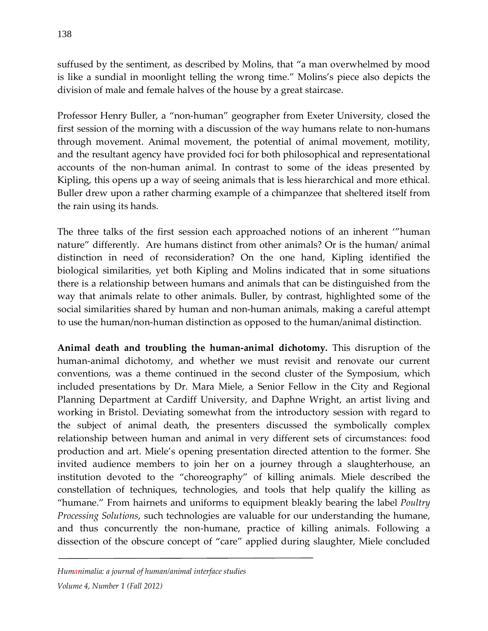suffused by the sentiment, as described by Molins, that "a man overwhelmed by mood is like a sundial in moonlight telling the wrong time." Molins's piece also depicts the division of male and female halves of the house by a great staircase.

Professor Henry Buller, a "non-human" geographer from Exeter University, closed the first session of the morning with a discussion of the way humans relate to non-humans through movement. Animal movement, the potential of animal movement, motility, and the resultant agency have provided foci for both philosophical and representational accounts of the non-human animal. In contrast to some of the ideas presented by Kipling, this opens up a way of seeing animals that is less hierarchical and more ethical. Buller drew upon a rather charming example of a chimpanzee that sheltered itself from the rain using its hands.

The three talks of the first session each approached notions of an inherent '"human nature" differently. Are humans distinct from other animals? Or is the human/ animal distinction in need of reconsideration? On the one hand, Kipling identified the biological similarities, yet both Kipling and Molins indicated that in some situations there is a relationship between humans and animals that can be distinguished from the way that animals relate to other animals. Buller, by contrast, highlighted some of the social similarities shared by human and non-human animals, making a careful attempt to use the human/non-human distinction as opposed to the human/animal distinction.

**Animal death and troubling the human-animal dichotomy.** This disruption of the human-animal dichotomy, and whether we must revisit and renovate our current conventions, was a theme continued in the second cluster of the Symposium, which included presentations by Dr. Mara Miele, a Senior Fellow in the City and Regional Planning Department at Cardiff University, and Daphne Wright, an artist living and working in Bristol. Deviating somewhat from the introductory session with regard to the subject of animal death, the presenters discussed the symbolically complex relationship between human and animal in very different sets of circumstances: food production and art. Miele's opening presentation directed attention to the former. She invited audience members to join her on a journey through a slaughterhouse, an institution devoted to the "choreography" of killing animals. Miele described the constellation of techniques, technologies, and tools that help qualify the killing as "humane." From hairnets and uniforms to equipment bleakly bearing the label *Poultry Processing Solutions*, such technologies are valuable for our understanding the humane, and thus concurrently the non-humane, practice of killing animals. Following a dissection of the obscure concept of "care" applied during slaughter, Miele concluded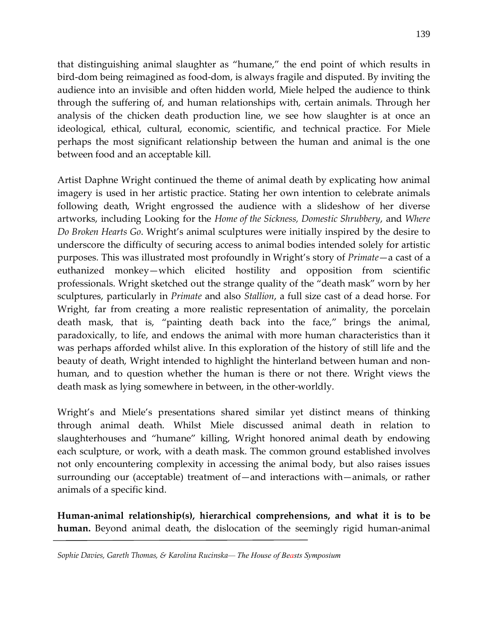that distinguishing animal slaughter as "humane," the end point of which results in bird-dom being reimagined as food-dom, is always fragile and disputed. By inviting the audience into an invisible and often hidden world, Miele helped the audience to think through the suffering of, and human relationships with, certain animals. Through her analysis of the chicken death production line, we see how slaughter is at once an ideological, ethical, cultural, economic, scientific, and technical practice. For Miele perhaps the most significant relationship between the human and animal is the one between food and an acceptable kill.

Artist Daphne Wright continued the theme of animal death by explicating how animal imagery is used in her artistic practice. Stating her own intention to celebrate animals following death, Wright engrossed the audience with a slideshow of her diverse artworks, including Looking for the *Home of the Sickness, Domestic Shrubbery*, and *Where Do Broken Hearts Go*. Wright's animal sculptures were initially inspired by the desire to underscore the difficulty of securing access to animal bodies intended solely for artistic purposes. This was illustrated most profoundly in Wright's story of *Primate*—a cast of a euthanized monkey—which elicited hostility and opposition from scientific professionals. Wright sketched out the strange quality of the "death mask" worn by her sculptures, particularly in *Primate* and also *Stallion*, a full size cast of a dead horse. For Wright, far from creating a more realistic representation of animality, the porcelain death mask, that is, "painting death back into the face," brings the animal, paradoxically, to life, and endows the animal with more human characteristics than it was perhaps afforded whilst alive. In this exploration of the history of still life and the beauty of death, Wright intended to highlight the hinterland between human and nonhuman, and to question whether the human is there or not there. Wright views the death mask as lying somewhere in between, in the other-worldly.

Wright's and Miele's presentations shared similar yet distinct means of thinking through animal death. Whilst Miele discussed animal death in relation to slaughterhouses and "humane" killing, Wright honored animal death by endowing each sculpture, or work, with a death mask. The common ground established involves not only encountering complexity in accessing the animal body, but also raises issues surrounding our (acceptable) treatment of—and interactions with—animals, or rather animals of a specific kind.

**Human-animal relationship(s), hierarchical comprehensions, and what it is to be human.** Beyond animal death, the dislocation of the seemingly rigid human-animal

*Sophie Davies, Gareth Thomas, & Karolina Rucinska— The House of Beasts Symposium*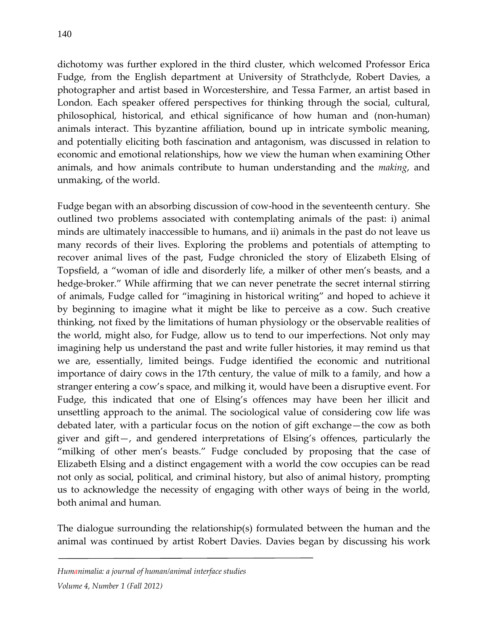dichotomy was further explored in the third cluster, which welcomed Professor Erica Fudge, from the English department at University of Strathclyde, Robert Davies, a photographer and artist based in Worcestershire, and Tessa Farmer, an artist based in London. Each speaker offered perspectives for thinking through the social, cultural, philosophical, historical, and ethical significance of how human and (non-human) animals interact. This byzantine affiliation, bound up in intricate symbolic meaning, and potentially eliciting both fascination and antagonism, was discussed in relation to economic and emotional relationships, how we view the human when examining Other animals, and how animals contribute to human understanding and the *making*, and unmaking, of the world.

Fudge began with an absorbing discussion of cow-hood in the seventeenth century. She outlined two problems associated with contemplating animals of the past: i) animal minds are ultimately inaccessible to humans, and ii) animals in the past do not leave us many records of their lives. Exploring the problems and potentials of attempting to recover animal lives of the past, Fudge chronicled the story of Elizabeth Elsing of Topsfield, a "woman of idle and disorderly life, a milker of other men's beasts, and a hedge-broker." While affirming that we can never penetrate the secret internal stirring of animals, Fudge called for "imagining in historical writing" and hoped to achieve it by beginning to imagine what it might be like to perceive as a cow. Such creative thinking, not fixed by the limitations of human physiology or the observable realities of the world, might also, for Fudge, allow us to tend to our imperfections. Not only may imagining help us understand the past and write fuller histories, it may remind us that we are, essentially, limited beings. Fudge identified the economic and nutritional importance of dairy cows in the 17th century, the value of milk to a family, and how a stranger entering a cow's space, and milking it, would have been a disruptive event. For Fudge, this indicated that one of Elsing's offences may have been her illicit and unsettling approach to the animal. The sociological value of considering cow life was debated later, with a particular focus on the notion of gift exchange—the cow as both giver and gift—, and gendered interpretations of Elsing's offences, particularly the "milking of other men's beasts." Fudge concluded by proposing that the case of Elizabeth Elsing and a distinct engagement with a world the cow occupies can be read not only as social, political, and criminal history, but also of animal history, prompting us to acknowledge the necessity of engaging with other ways of being in the world, both animal and human.

The dialogue surrounding the relationship(s) formulated between the human and the animal was continued by artist Robert Davies. Davies began by discussing his work

## *Humanimalia: a journal of human/animal interface studies*

*Volume 4, Number 1 (Fall 2012)*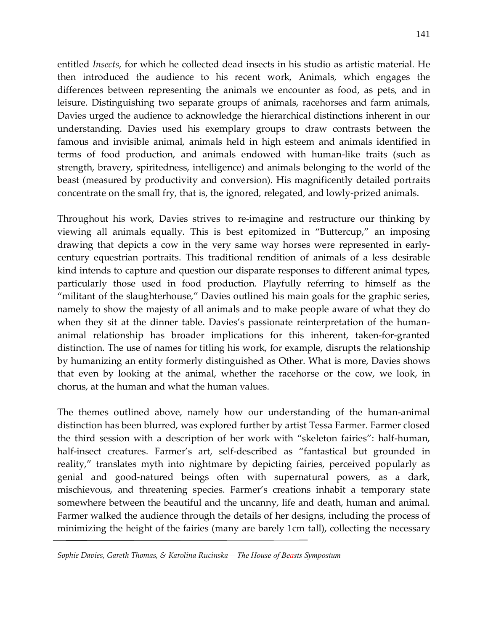entitled *Insects*, for which he collected dead insects in his studio as artistic material. He then introduced the audience to his recent work, Animals, which engages the differences between representing the animals we encounter as food, as pets, and in leisure. Distinguishing two separate groups of animals, racehorses and farm animals, Davies urged the audience to acknowledge the hierarchical distinctions inherent in our understanding. Davies used his exemplary groups to draw contrasts between the famous and invisible animal, animals held in high esteem and animals identified in terms of food production, and animals endowed with human-like traits (such as strength, bravery, spiritedness, intelligence) and animals belonging to the world of the beast (measured by productivity and conversion). His magnificently detailed portraits concentrate on the small fry, that is, the ignored, relegated, and lowly-prized animals.

Throughout his work, Davies strives to re-imagine and restructure our thinking by viewing all animals equally. This is best epitomized in "Buttercup," an imposing drawing that depicts a cow in the very same way horses were represented in earlycentury equestrian portraits. This traditional rendition of animals of a less desirable kind intends to capture and question our disparate responses to different animal types, particularly those used in food production. Playfully referring to himself as the "militant of the slaughterhouse," Davies outlined his main goals for the graphic series, namely to show the majesty of all animals and to make people aware of what they do when they sit at the dinner table. Davies's passionate reinterpretation of the humananimal relationship has broader implications for this inherent, taken-for-granted distinction. The use of names for titling his work, for example, disrupts the relationship by humanizing an entity formerly distinguished as Other. What is more, Davies shows that even by looking at the animal, whether the racehorse or the cow, we look, in chorus, at the human and what the human values.

The themes outlined above, namely how our understanding of the human-animal distinction has been blurred, was explored further by artist Tessa Farmer. Farmer closed the third session with a description of her work with "skeleton fairies": half-human, half-insect creatures. Farmer's art, self-described as "fantastical but grounded in reality," translates myth into nightmare by depicting fairies, perceived popularly as genial and good-natured beings often with supernatural powers, as a dark, mischievous, and threatening species. Farmer's creations inhabit a temporary state somewhere between the beautiful and the uncanny, life and death, human and animal. Farmer walked the audience through the details of her designs, including the process of minimizing the height of the fairies (many are barely 1cm tall), collecting the necessary

*Sophie Davies, Gareth Thomas, & Karolina Rucinska— The House of Beasts Symposium*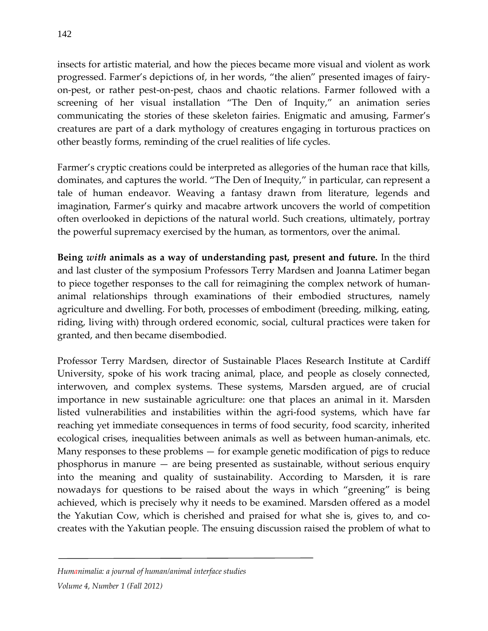insects for artistic material, and how the pieces became more visual and violent as work progressed. Farmer's depictions of, in her words, "the alien" presented images of fairyon-pest, or rather pest-on-pest, chaos and chaotic relations. Farmer followed with a screening of her visual installation "The Den of Inquity," an animation series communicating the stories of these skeleton fairies. Enigmatic and amusing, Farmer's creatures are part of a dark mythology of creatures engaging in torturous practices on other beastly forms, reminding of the cruel realities of life cycles.

Farmer's cryptic creations could be interpreted as allegories of the human race that kills, dominates, and captures the world. "The Den of Inequity," in particular, can represent a tale of human endeavor. Weaving a fantasy drawn from literature, legends and imagination, Farmer's quirky and macabre artwork uncovers the world of competition often overlooked in depictions of the natural world. Such creations, ultimately, portray the powerful supremacy exercised by the human, as tormentors, over the animal.

**Being** *with* **animals as a way of understanding past, present and future.** In the third and last cluster of the symposium Professors Terry Mardsen and Joanna Latimer began to piece together responses to the call for reimagining the complex network of humananimal relationships through examinations of their embodied structures, namely agriculture and dwelling. For both, processes of embodiment (breeding, milking, eating, riding, living with) through ordered economic, social, cultural practices were taken for granted, and then became disembodied.

Professor Terry Mardsen, director of Sustainable Places Research Institute at Cardiff University, spoke of his work tracing animal, place, and people as closely connected, interwoven, and complex systems. These systems, Marsden argued, are of crucial importance in new sustainable agriculture: one that places an animal in it. Marsden listed vulnerabilities and instabilities within the agri-food systems, which have far reaching yet immediate consequences in terms of food security, food scarcity, inherited ecological crises, inequalities between animals as well as between human-animals, etc. Many responses to these problems — for example genetic modification of pigs to reduce phosphorus in manure — are being presented as sustainable, without serious enquiry into the meaning and quality of sustainability. According to Marsden, it is rare nowadays for questions to be raised about the ways in which "greening" is being achieved, which is precisely why it needs to be examined. Marsden offered as a model the Yakutian Cow, which is cherished and praised for what she is, gives to, and cocreates with the Yakutian people. The ensuing discussion raised the problem of what to